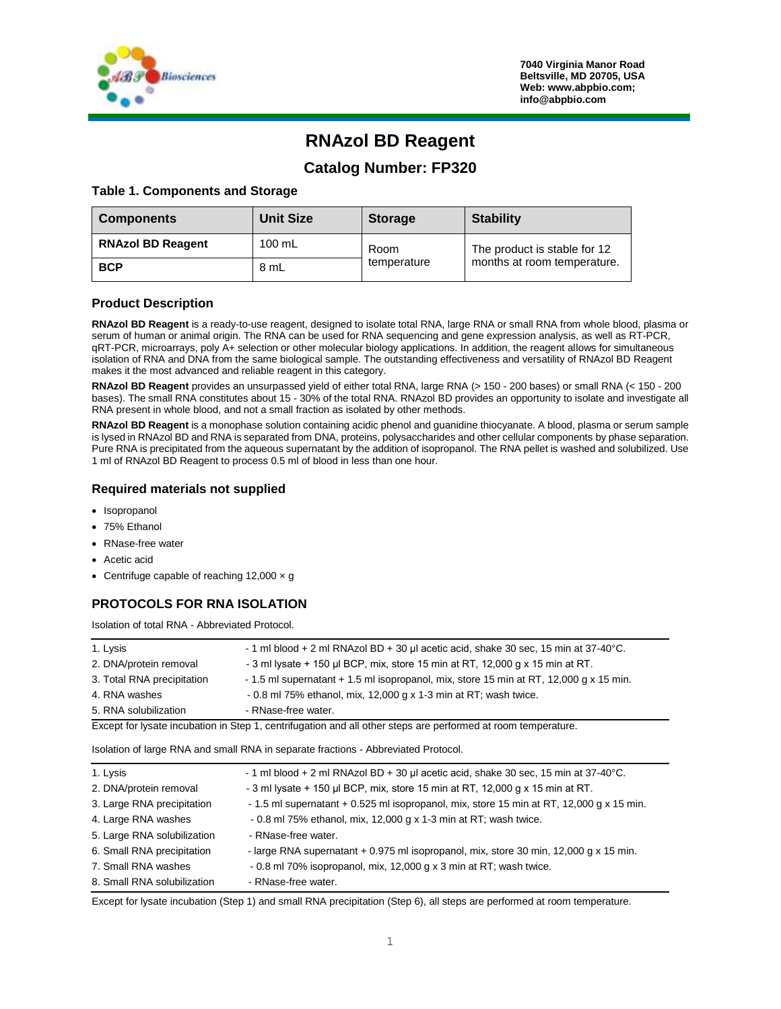

# **RNAzol BD Reagent**

## **Catalog Number: FP320**

#### **Table 1. Components and Storage**

| <b>Components</b>        | <b>Unit Size</b> | <b>Storage</b>      | <b>Stability</b>                                            |
|--------------------------|------------------|---------------------|-------------------------------------------------------------|
| <b>RNAzol BD Reagent</b> | $100 \text{ mL}$ | Room<br>temperature | The product is stable for 12<br>months at room temperature. |
| <b>BCP</b>               | 8 mL             |                     |                                                             |

#### **Product Description**

**RNAzol BD Reagent** is a ready-to-use reagent, designed to isolate total RNA, large RNA or small RNA from whole blood, plasma or serum of human or animal origin. The RNA can be used for RNA sequencing and gene expression analysis, as well as RT-PCR, qRT-PCR, microarrays, poly A+ selection or other molecular biology applications. In addition, the reagent allows for simultaneous isolation of RNA and DNA from the same biological sample. The outstanding effectiveness and versatility of RNAzol BD Reagent makes it the most advanced and reliable reagent in this category.

**RNAzol BD Reagent** provides an unsurpassed yield of either total RNA, large RNA (> 150 - 200 bases) or small RNA (< 150 - 200 bases). The small RNA constitutes about 15 - 30% of the total RNA. RNAzol BD provides an opportunity to isolate and investigate all RNA present in whole blood, and not a small fraction as isolated by other methods.

**RNAzol BD Reagent** is a monophase solution containing acidic phenol and guanidine thiocyanate. A blood, plasma or serum sample is lysed in RNAzol BD and RNA is separated from DNA, proteins, polysaccharides and other cellular components by phase separation. Pure RNA is precipitated from the aqueous supernatant by the addition of isopropanol. The RNA pellet is washed and solubilized. Use 1 ml of RNAzol BD Reagent to process 0.5 ml of blood in less than one hour.

#### **Required materials not supplied**

- Isopropanol
- 75% Ethanol
- RNase-free water
- Acetic acid
- Centrifuge capable of reaching  $12,000 \times g$

#### **PROTOCOLS FOR RNA ISOLATION**

Isolation of total RNA - Abbreviated Protocol.

| 1. Lysis                   | $-1$ ml blood + 2 ml RNAzol BD + 30 µl acetic acid, shake 30 sec, 15 min at 37-40 $^{\circ}$ C.                 |
|----------------------------|-----------------------------------------------------------------------------------------------------------------|
| 2. DNA/protein removal     | $-3$ ml lysate $+150$ µl BCP, mix, store 15 min at RT, 12,000 g x 15 min at RT.                                 |
| 3. Total RNA precipitation | - 1.5 ml supernatant + 1.5 ml isopropanol, mix, store 15 min at RT, 12,000 g x 15 min.                          |
| 4. RNA washes              | $-0.8$ ml 75% ethanol, mix, 12,000 g x 1-3 min at RT; wash twice.                                               |
| 5. RNA solubilization      | - RNase-free water.                                                                                             |
|                            | the contract of the contract of the contract of the contract of the contract of the contract of the contract of |

Except for lysate incubation in Step 1, centrifugation and all other steps are performed at room temperature.

Isolation of large RNA and small RNA in separate fractions - Abbreviated Protocol.

| 1. Lysis                    | - 1 ml blood + 2 ml RNAzol BD + 30 µl acetic acid, shake 30 sec, 15 min at $37-40^{\circ}$ C. |
|-----------------------------|-----------------------------------------------------------------------------------------------|
| 2. DNA/protein removal      | - 3 ml lysate + 150 µl BCP, mix, store 15 min at RT, 12,000 g x 15 min at RT.                 |
| 3. Large RNA precipitation  | - 1.5 ml supernatant + 0.525 ml isopropanol, mix, store 15 min at RT, 12,000 g x 15 min.      |
| 4. Large RNA washes         | - 0.8 ml 75% ethanol, mix, 12,000 g x 1-3 min at RT; wash twice.                              |
| 5. Large RNA solubilization | - RNase-free water.                                                                           |
| 6. Small RNA precipitation  | - large RNA supernatant + 0.975 ml isopropanol, mix, store 30 min, 12,000 g x 15 min.         |
| 7. Small RNA washes         | $-0.8$ ml 70% isopropanol, mix, 12,000 g x 3 min at RT; wash twice.                           |
| 8. Small RNA solubilization | - RNase-free water.                                                                           |

Except for lysate incubation (Step 1) and small RNA precipitation (Step 6), all steps are performed at room temperature.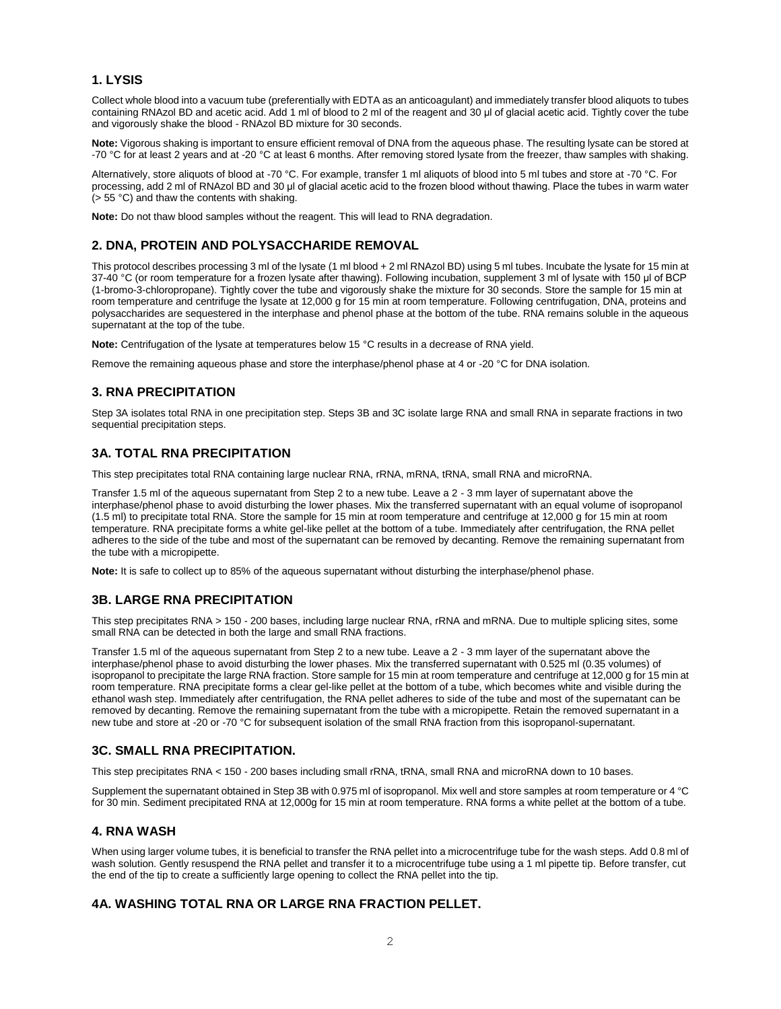### **1. LYSIS**

Collect whole blood into a vacuum tube (preferentially with EDTA as an anticoagulant) and immediately transfer blood aliquots to tubes containing RNAzol BD and acetic acid. Add 1 ml of blood to 2 ml of the reagent and 30 μl of glacial acetic acid. Tightly cover the tube and vigorously shake the blood - RNAzol BD mixture for 30 seconds.

**Note:** Vigorous shaking is important to ensure efficient removal of DNA from the aqueous phase. The resulting lysate can be stored at -70 °C for at least 2 years and at -20 °C at least 6 months. After removing stored lysate from the freezer, thaw samples with shaking.

Alternatively, store aliquots of blood at -70 °C. For example, transfer 1 ml aliquots of blood into 5 ml tubes and store at -70 °C. For processing, add 2 ml of RNAzol BD and 30 μl of glacial acetic acid to the frozen blood without thawing. Place the tubes in warm water (> 55 °C) and thaw the contents with shaking.

**Note:** Do not thaw blood samples without the reagent. This will lead to RNA degradation.

## **2. DNA, PROTEIN AND POLYSACCHARIDE REMOVAL**

This protocol describes processing 3 ml of the lysate (1 ml blood + 2 ml RNAzol BD) using 5 ml tubes. Incubate the lysate for 15 min at 37-40 °C (or room temperature for a frozen lysate after thawing). Following incubation, supplement 3 ml of lysate with 150 μl of BCP (1-bromo-3-chloropropane). Tightly cover the tube and vigorously shake the mixture for 30 seconds. Store the sample for 15 min at room temperature and centrifuge the lysate at 12,000 g for 15 min at room temperature. Following centrifugation, DNA, proteins and polysaccharides are sequestered in the interphase and phenol phase at the bottom of the tube. RNA remains soluble in the aqueous supernatant at the top of the tube.

**Note:** Centrifugation of the lysate at temperatures below 15 °C results in a decrease of RNA yield.

Remove the remaining aqueous phase and store the interphase/phenol phase at 4 or -20 °C for DNA isolation.

## **3. RNA PRECIPITATION**

Step 3A isolates total RNA in one precipitation step. Steps 3B and 3C isolate large RNA and small RNA in separate fractions in two sequential precipitation steps.

## **3A. TOTAL RNA PRECIPITATION**

This step precipitates total RNA containing large nuclear RNA, rRNA, mRNA, tRNA, small RNA and microRNA.

Transfer 1.5 ml of the aqueous supernatant from Step 2 to a new tube. Leave a 2 - 3 mm layer of supernatant above the interphase/phenol phase to avoid disturbing the lower phases. Mix the transferred supernatant with an equal volume of isopropanol (1.5 ml) to precipitate total RNA. Store the sample for 15 min at room temperature and centrifuge at 12,000 g for 15 min at room temperature. RNA precipitate forms a white gel-like pellet at the bottom of a tube. Immediately after centrifugation, the RNA pellet adheres to the side of the tube and most of the supernatant can be removed by decanting. Remove the remaining supernatant from the tube with a micropipette.

**Note:** It is safe to collect up to 85% of the aqueous supernatant without disturbing the interphase/phenol phase.

## **3B. LARGE RNA PRECIPITATION**

This step precipitates RNA > 150 - 200 bases, including large nuclear RNA, rRNA and mRNA. Due to multiple splicing sites, some small RNA can be detected in both the large and small RNA fractions.

Transfer 1.5 ml of the aqueous supernatant from Step 2 to a new tube. Leave a 2 - 3 mm layer of the supernatant above the interphase/phenol phase to avoid disturbing the lower phases. Mix the transferred supernatant with 0.525 ml (0.35 volumes) of isopropanol to precipitate the large RNA fraction. Store sample for 15 min at room temperature and centrifuge at 12,000 g for 15 min at room temperature. RNA precipitate forms a clear gel-like pellet at the bottom of a tube, which becomes white and visible during the ethanol wash step. Immediately after centrifugation, the RNA pellet adheres to side of the tube and most of the supernatant can be removed by decanting. Remove the remaining supernatant from the tube with a micropipette. Retain the removed supernatant in a new tube and store at -20 or -70 °C for subsequent isolation of the small RNA fraction from this isopropanol-supernatant.

#### **3C. SMALL RNA PRECIPITATION.**

This step precipitates RNA < 150 - 200 bases including small rRNA, tRNA, small RNA and microRNA down to 10 bases.

Supplement the supernatant obtained in Step 3B with 0.975 ml of isopropanol. Mix well and store samples at room temperature or 4 °C for 30 min. Sediment precipitated RNA at 12,000g for 15 min at room temperature. RNA forms a white pellet at the bottom of a tube.

#### **4. RNA WASH**

When using larger volume tubes, it is beneficial to transfer the RNA pellet into a microcentrifuge tube for the wash steps. Add 0.8 ml of wash solution. Gently resuspend the RNA pellet and transfer it to a microcentrifuge tube using a 1 ml pipette tip. Before transfer, cut the end of the tip to create a sufficiently large opening to collect the RNA pellet into the tip.

#### **4A. WASHING TOTAL RNA OR LARGE RNA FRACTION PELLET.**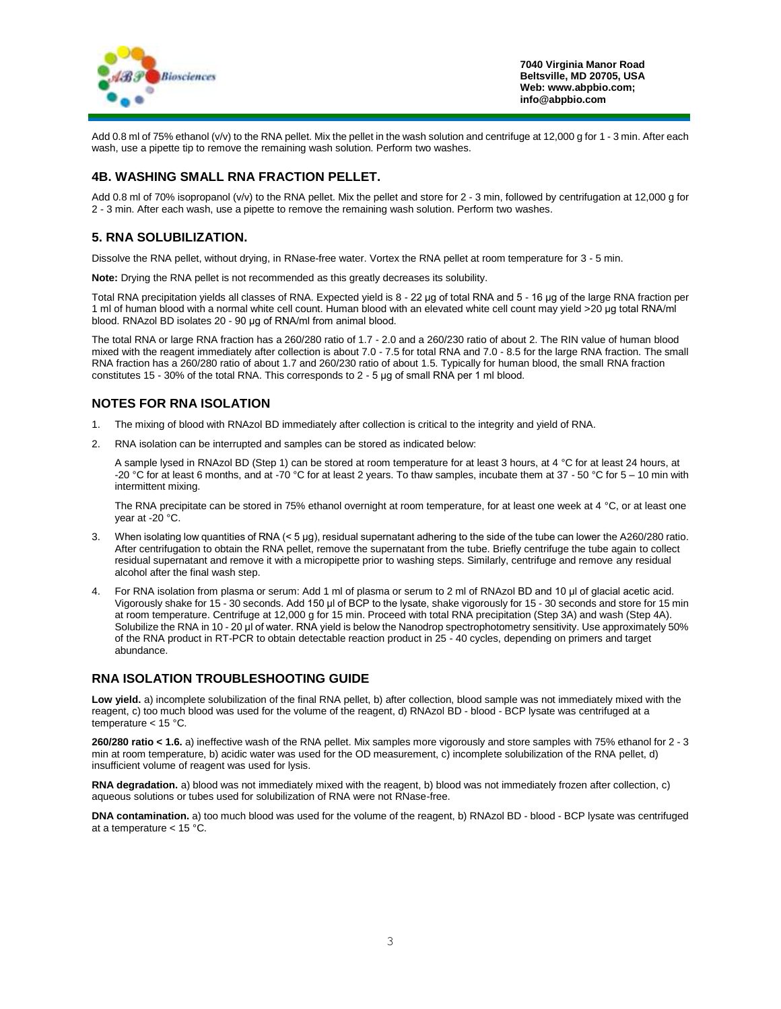

**7040 Virginia Manor Road Beltsville, MD 20705, USA Web: www.abpbio.com; info@abpbio.com**

Add 0.8 ml of 75% ethanol (v/v) to the RNA pellet. Mix the pellet in the wash solution and centrifuge at 12,000 g for 1 - 3 min. After each wash, use a pipette tip to remove the remaining wash solution. Perform two washes.

#### **4B. WASHING SMALL RNA FRACTION PELLET.**

Add 0.8 ml of 70% isopropanol (v/v) to the RNA pellet. Mix the pellet and store for 2 - 3 min, followed by centrifugation at 12,000 g for 2 - 3 min. After each wash, use a pipette to remove the remaining wash solution. Perform two washes.

#### **5. RNA SOLUBILIZATION.**

Dissolve the RNA pellet, without drying, in RNase-free water. Vortex the RNA pellet at room temperature for 3 - 5 min.

**Note:** Drying the RNA pellet is not recommended as this greatly decreases its solubility.

Total RNA precipitation yields all classes of RNA. Expected yield is 8 - 22 μg of total RNA and 5 - 16 μg of the large RNA fraction per 1 ml of human blood with a normal white cell count. Human blood with an elevated white cell count may yield >20 μg total RNA/ml blood. RNAzol BD isolates 20 - 90 μg of RNA/ml from animal blood.

The total RNA or large RNA fraction has a 260/280 ratio of 1.7 - 2.0 and a 260/230 ratio of about 2. The RIN value of human blood mixed with the reagent immediately after collection is about 7.0 - 7.5 for total RNA and 7.0 - 8.5 for the large RNA fraction. The small RNA fraction has a 260/280 ratio of about 1.7 and 260/230 ratio of about 1.5. Typically for human blood, the small RNA fraction constitutes 15 - 30% of the total RNA. This corresponds to 2 - 5 μg of small RNA per 1 ml blood.

## **NOTES FOR RNA ISOLATION**

- 1. The mixing of blood with RNAzol BD immediately after collection is critical to the integrity and yield of RNA.
- 2. RNA isolation can be interrupted and samples can be stored as indicated below:

A sample lysed in RNAzol BD (Step 1) can be stored at room temperature for at least 3 hours, at 4 °C for at least 24 hours, at -20 °C for at least 6 months, and at -70 °C for at least 2 years. To thaw samples, incubate them at 37 - 50 °C for 5 – 10 min with intermittent mixing.

The RNA precipitate can be stored in 75% ethanol overnight at room temperature, for at least one week at 4  $^{\circ}$ C, or at least one year at -20 °C.

- 3. When isolating low quantities of RNA (< 5 μg), residual supernatant adhering to the side of the tube can lower the A260/280 ratio. After centrifugation to obtain the RNA pellet, remove the supernatant from the tube. Briefly centrifuge the tube again to collect residual supernatant and remove it with a micropipette prior to washing steps. Similarly, centrifuge and remove any residual alcohol after the final wash step.
- 4. For RNA isolation from plasma or serum: Add 1 ml of plasma or serum to 2 ml of RNAzol BD and 10 μl of glacial acetic acid. Vigorously shake for 15 - 30 seconds. Add 150 μl of BCP to the lysate, shake vigorously for 15 - 30 seconds and store for 15 min at room temperature. Centrifuge at 12,000 g for 15 min. Proceed with total RNA precipitation (Step 3A) and wash (Step 4A). Solubilize the RNA in 10 - 20 μl of water. RNA yield is below the Nanodrop spectrophotometry sensitivity. Use approximately 50% of the RNA product in RT-PCR to obtain detectable reaction product in 25 - 40 cycles, depending on primers and target abundance.

#### **RNA ISOLATION TROUBLESHOOTING GUIDE**

Low yield. a) incomplete solubilization of the final RNA pellet, b) after collection, blood sample was not immediately mixed with the reagent, c) too much blood was used for the volume of the reagent, d) RNAzol BD - blood - BCP lysate was centrifuged at a temperature < 15 °C.

**260/280 ratio < 1.6.** a) ineffective wash of the RNA pellet. Mix samples more vigorously and store samples with 75% ethanol for 2 - 3 min at room temperature, b) acidic water was used for the OD measurement, c) incomplete solubilization of the RNA pellet, d) insufficient volume of reagent was used for lysis.

**RNA degradation.** a) blood was not immediately mixed with the reagent, b) blood was not immediately frozen after collection, c) aqueous solutions or tubes used for solubilization of RNA were not RNase-free.

**DNA contamination.** a) too much blood was used for the volume of the reagent, b) RNAzol BD - blood - BCP lysate was centrifuged at a temperature  $< 15 \degree C$ .